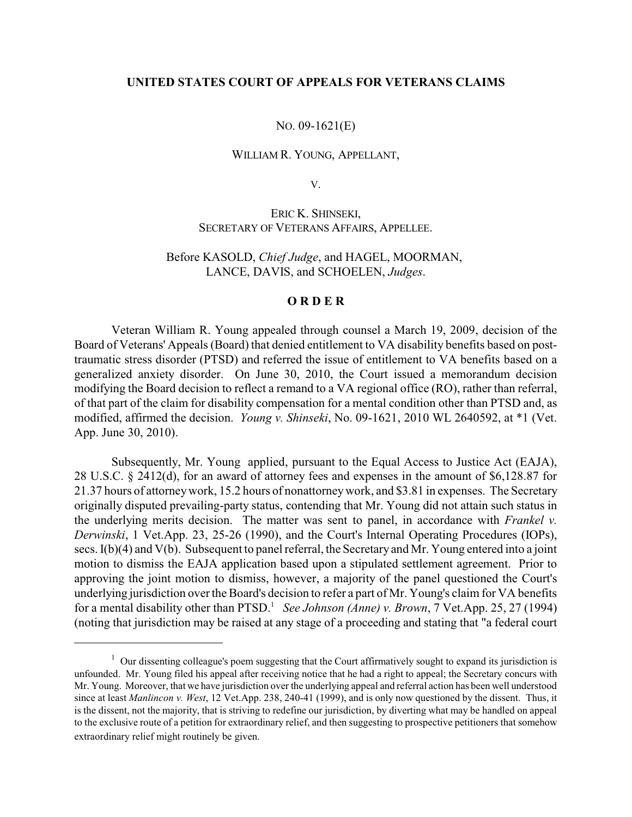## **UNITED STATES COURT OF APPEALS FOR VETERANS CLAIMS**

NO. 09-1621(E)

WILLIAM R. YOUNG, APPELLANT,

V.

ERIC K. SHINSEKI, SECRETARY OF VETERANS AFFAIRS, APPELLEE.

Before KASOLD, *Chief Judge*, and HAGEL, MOORMAN, LANCE, DAVIS, and SCHOELEN, *Judges*.

## **O R D E R**

Veteran William R. Young appealed through counsel a March 19, 2009, decision of the Board of Veterans' Appeals (Board) that denied entitlement to VA disability benefits based on posttraumatic stress disorder (PTSD) and referred the issue of entitlement to VA benefits based on a generalized anxiety disorder. On June 30, 2010, the Court issued a memorandum decision modifying the Board decision to reflect a remand to a VA regional office (RO), rather than referral, of that part of the claim for disability compensation for a mental condition other than PTSD and, as modified, affirmed the decision. *Young v. Shinseki*, No. 09-1621, 2010 WL 2640592, at \*1 (Vet. App. June 30, 2010).

Subsequently, Mr. Young applied, pursuant to the Equal Access to Justice Act (EAJA), 28 U.S.C. § 2412(d), for an award of attorney fees and expenses in the amount of \$6,128.87 for 21.37 hours of attorneywork, 15.2 hours of nonattorneywork, and \$3.81 in expenses. The Secretary originally disputed prevailing-party status, contending that Mr. Young did not attain such status in the underlying merits decision. The matter was sent to panel, in accordance with *Frankel v. Derwinski*, 1 Vet.App. 23, 25-26 (1990), and the Court's Internal Operating Procedures (IOPs), secs. I(b)(4) and V(b). Subsequent to panel referral, the Secretary and Mr. Young entered into a joint motion to dismiss the EAJA application based upon a stipulated settlement agreement. Prior to approving the joint motion to dismiss, however, a majority of the panel questioned the Court's underlying jurisdiction over the Board's decision to refer a part of Mr. Young's claim for VA benefits for a mental disability other than PTSD.<sup>1</sup> See Johnson (Anne) *v. Brown*, 7 Vet.App. 25, 27 (1994) (noting that jurisdiction may be raised at any stage of a proceeding and stating that "a federal court

 $1$  Our dissenting colleague's poem suggesting that the Court affirmatively sought to expand its jurisdiction is unfounded. Mr. Young filed his appeal after receiving notice that he had a right to appeal; the Secretary concurs with Mr. Young. Moreover, that we have jurisdiction over the underlying appeal and referral action has been well understood since at least *Manlincon v. West*, 12 Vet.App. 238, 240-41 (1999), and is only now questioned by the dissent. Thus, it is the dissent, not the majority, that is striving to redefine our jurisdiction, by diverting what may be handled on appeal to the exclusive route of a petition for extraordinary relief, and then suggesting to prospective petitioners that somehow extraordinary relief might routinely be given.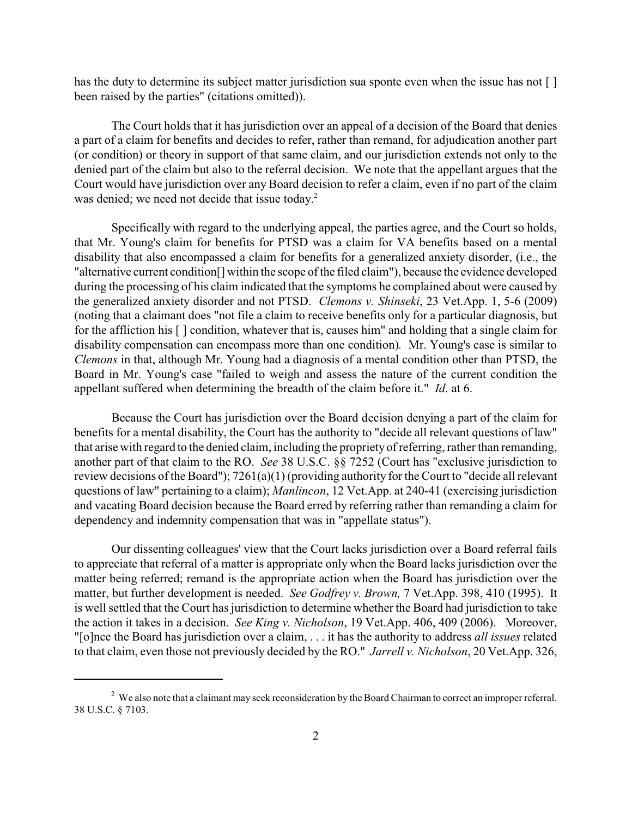has the duty to determine its subject matter jurisdiction sua sponte even when the issue has not [] been raised by the parties" (citations omitted)).

The Court holds that it has jurisdiction over an appeal of a decision of the Board that denies a part of a claim for benefits and decides to refer, rather than remand, for adjudication another part (or condition) or theory in support of that same claim, and our jurisdiction extends not only to the denied part of the claim but also to the referral decision. We note that the appellant argues that the Court would have jurisdiction over any Board decision to refer a claim, even if no part of the claim was denied; we need not decide that issue today. 2

Specifically with regard to the underlying appeal, the parties agree, and the Court so holds, that Mr. Young's claim for benefits for PTSD was a claim for VA benefits based on a mental disability that also encompassed a claim for benefits for a generalized anxiety disorder, (i.e., the "alternative current condition[] within the scope of the filed claim"), because the evidence developed during the processing of his claim indicated that the symptoms he complained about were caused by the generalized anxiety disorder and not PTSD. *Clemons v. Shinseki*, 23 Vet.App. 1, 5-6 (2009) (noting that a claimant does "not file a claim to receive benefits only for a particular diagnosis, but for the affliction his [ ] condition, whatever that is, causes him" and holding that a single claim for disability compensation can encompass more than one condition)*.* Mr. Young's case is similar to *Clemons* in that, although Mr. Young had a diagnosis of a mental condition other than PTSD, the Board in Mr. Young's case "failed to weigh and assess the nature of the current condition the appellant suffered when determining the breadth of the claim before it." *Id*. at 6.

Because the Court has jurisdiction over the Board decision denying a part of the claim for benefits for a mental disability, the Court has the authority to "decide all relevant questions of law" that arise with regard to the denied claim, including the propriety of referring, rather than remanding, another part of that claim to the RO. *See* 38 U.S.C. §§ 7252 (Court has "exclusive jurisdiction to review decisions of the Board"); 7261(a)(1) (providing authority for the Court to "decide all relevant questions of law" pertaining to a claim); *Manlincon*, 12 Vet.App. at 240-41 (exercising jurisdiction and vacating Board decision because the Board erred by referring rather than remanding a claim for dependency and indemnity compensation that was in "appellate status").

Our dissenting colleagues' view that the Court lacks jurisdiction over a Board referral fails to appreciate that referral of a matter is appropriate only when the Board lacks jurisdiction over the matter being referred; remand is the appropriate action when the Board has jurisdiction over the matter, but further development is needed. *See Godfrey v. Brown,* 7 Vet.App. 398, 410 (1995). It is well settled that the Court has jurisdiction to determine whether the Board had jurisdiction to take the action it takes in a decision. *See King v. Nicholson*, 19 Vet.App. 406, 409 (2006). Moreover, "[o]nce the Board has jurisdiction over a claim, . . . it has the authority to address *all issues* related to that claim, even those not previously decided by the RO." *Jarrell v. Nicholson*, 20 Vet.App. 326,

<sup>&</sup>lt;sup>2</sup> We also note that a claimant may seek reconsideration by the Board Chairman to correct an improper referral. 38 U.S.C. § 7103.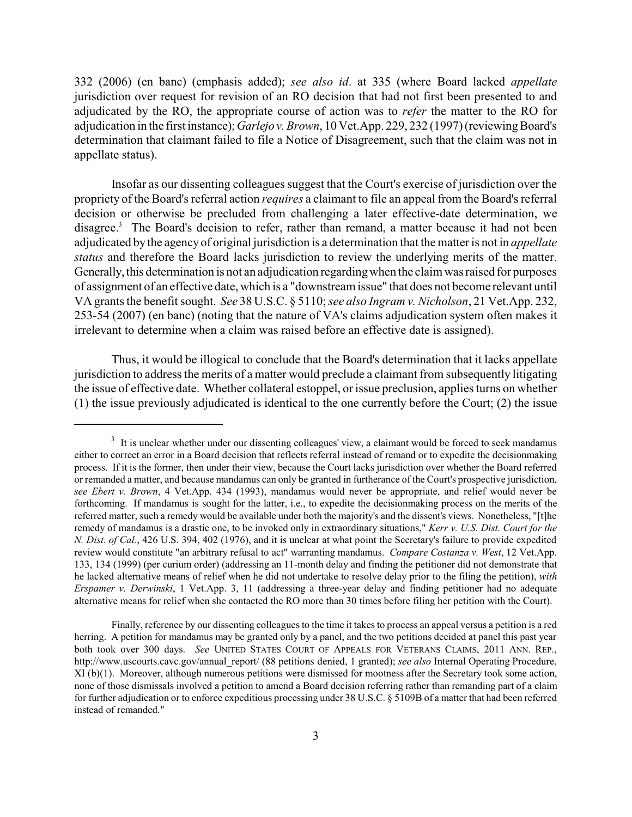332 (2006) (en banc) (emphasis added); *see also id*. at 335 (where Board lacked *appellate* jurisdiction over request for revision of an RO decision that had not first been presented to and adjudicated by the RO, the appropriate course of action was to *refer* the matter to the RO for adjudication in the first instance); *Garlejov. Brown*, 10 Vet.App. 229, 232 (1997) (reviewing Board's determination that claimant failed to file a Notice of Disagreement, such that the claim was not in appellate status).

Insofar as our dissenting colleagues suggest that the Court's exercise of jurisdiction over the propriety of the Board's referral action *requires* a claimant to file an appeal from the Board's referral decision or otherwise be precluded from challenging a later effective-date determination, we disagree.<sup>3</sup> The Board's decision to refer, rather than remand, a matter because it had not been adjudicated by the agencyof original jurisdiction is a determination that the matter is not in *appellate status* and therefore the Board lacks jurisdiction to review the underlying merits of the matter. Generally, this determination is not an adjudication regardingwhen the claim was raised for purposes of assignment of an effective date, which is a "downstream issue" that does not become relevant until VA grants the benefit sought. *See* 38 U.S.C. § 5110; *see also Ingram v. Nicholson*, 21 Vet.App. 232, 253-54 (2007) (en banc) (noting that the nature of VA's claims adjudication system often makes it irrelevant to determine when a claim was raised before an effective date is assigned).

Thus, it would be illogical to conclude that the Board's determination that it lacks appellate jurisdiction to address the merits of a matter would preclude a claimant from subsequently litigating the issue of effective date. Whether collateral estoppel, or issue preclusion, applies turns on whether (1) the issue previously adjudicated is identical to the one currently before the Court; (2) the issue

 $3\,$  It is unclear whether under our dissenting colleagues' view, a claimant would be forced to seek mandamus either to correct an error in a Board decision that reflects referral instead of remand or to expedite the decisionmaking process. If it is the former, then under their view, because the Court lacks jurisdiction over whether the Board referred or remanded a matter, and because mandamus can only be granted in furtherance of the Court's prospective jurisdiction, *see Ebert v. Brown*, 4 Vet.App. 434 (1993), mandamus would never be appropriate, and relief would never be forthcoming. If mandamus is sought for the latter, i.e., to expedite the decisionmaking process on the merits of the referred matter, such a remedy would be available under both the majority's and the dissent's views. Nonetheless, "[t]he remedy of mandamus is a drastic one, to be invoked only in extraordinary situations," *Kerr v. U.S. Dist. Court for the N. Dist. of Cal.*, 426 U.S. 394, 402 (1976), and it is unclear at what point the Secretary's failure to provide expedited review would constitute "an arbitrary refusal to act" warranting mandamus. *Compare Costanza v. West*, 12 Vet.App. 133, 134 (1999) (per curium order) (addressing an 11-month delay and finding the petitioner did not demonstrate that he lacked alternative means of relief when he did not undertake to resolve delay prior to the filing the petition), *with Erspamer v. Derwinski*, 1 Vet.App. 3, 11 (addressing a three-year delay and finding petitioner had no adequate alternative means for relief when she contacted the RO more than 30 times before filing her petition with the Court).

Finally, reference by our dissenting colleagues to the time it takes to process an appeal versus a petition is a red herring. A petition for mandamus may be granted only by a panel, and the two petitions decided at panel this past year both took over 300 days. *See* UNITED STATES COURT OF APPEALS FOR VETERANS CLAIMS, 2011 ANN. REP., http://www.uscourts.cavc.gov/annual\_report/ (88 petitions denied, 1 granted); *see also* Internal Operating Procedure, XI (b)(1). Moreover, although numerous petitions were dismissed for mootness after the Secretary took some action, none of those dismissals involved a petition to amend a Board decision referring rather than remanding part of a claim for further adjudication or to enforce expeditious processing under 38 U.S.C. § 5109B of a matter that had been referred instead of remanded."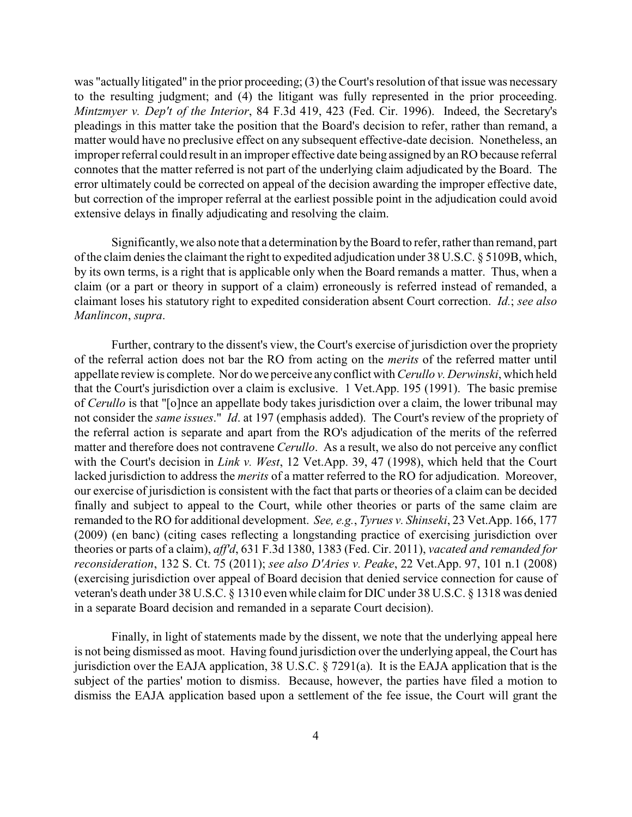was "actually litigated" in the prior proceeding; (3) the Court's resolution of that issue was necessary to the resulting judgment; and (4) the litigant was fully represented in the prior proceeding. *Mintzmyer v. Dep't of the Interior*, 84 F.3d 419, 423 (Fed. Cir. 1996). Indeed, the Secretary's pleadings in this matter take the position that the Board's decision to refer, rather than remand, a matter would have no preclusive effect on any subsequent effective-date decision. Nonetheless, an improper referral could result in an improper effective date being assigned by an RO because referral connotes that the matter referred is not part of the underlying claim adjudicated by the Board. The error ultimately could be corrected on appeal of the decision awarding the improper effective date, but correction of the improper referral at the earliest possible point in the adjudication could avoid extensive delays in finally adjudicating and resolving the claim.

Significantly, we also note that a determination bythe Board to refer, rather than remand, part of the claim denies the claimant the right to expedited adjudication under 38 U.S.C. § 5109B, which, by its own terms, is a right that is applicable only when the Board remands a matter. Thus, when a claim (or a part or theory in support of a claim) erroneously is referred instead of remanded, a claimant loses his statutory right to expedited consideration absent Court correction. *Id.*; *see also Manlincon*, *supra*.

Further, contrary to the dissent's view, the Court's exercise of jurisdiction over the propriety of the referral action does not bar the RO from acting on the *merits* of the referred matter until appellate review is complete. Nor do we perceive anyconflict with *Cerullo v. Derwinski*, which held that the Court's jurisdiction over a claim is exclusive. 1 Vet.App. 195 (1991). The basic premise of *Cerullo* is that "[o]nce an appellate body takes jurisdiction over a claim, the lower tribunal may not consider the *same issues*." *Id*. at 197 (emphasis added). The Court's review of the propriety of the referral action is separate and apart from the RO's adjudication of the merits of the referred matter and therefore does not contravene *Cerullo*. As a result, we also do not perceive any conflict with the Court's decision in *Link v. West*, 12 Vet.App. 39, 47 (1998), which held that the Court lacked jurisdiction to address the *merits* of a matter referred to the RO for adjudication. Moreover, our exercise of jurisdiction is consistent with the fact that parts or theories of a claim can be decided finally and subject to appeal to the Court, while other theories or parts of the same claim are remanded to the RO for additional development. *See, e.g.*, *Tyrues v. Shinseki*, 23 Vet.App. 166, 177 (2009) (en banc) (citing cases reflecting a longstanding practice of exercising jurisdiction over theories or parts of a claim), *aff'd*, 631 F.3d 1380, 1383 (Fed. Cir. 2011), *vacated and remanded for reconsideration*, 132 S. Ct. 75 (2011); *see also D'Aries v. Peake*, 22 Vet.App. 97, 101 n.1 (2008) (exercising jurisdiction over appeal of Board decision that denied service connection for cause of veteran's death under 38 U.S.C. § 1310 even while claim for DIC under 38 U.S.C. § 1318 was denied in a separate Board decision and remanded in a separate Court decision).

Finally, in light of statements made by the dissent, we note that the underlying appeal here is not being dismissed as moot. Having found jurisdiction over the underlying appeal, the Court has jurisdiction over the EAJA application, 38 U.S.C. § 7291(a). It is the EAJA application that is the subject of the parties' motion to dismiss. Because, however, the parties have filed a motion to dismiss the EAJA application based upon a settlement of the fee issue, the Court will grant the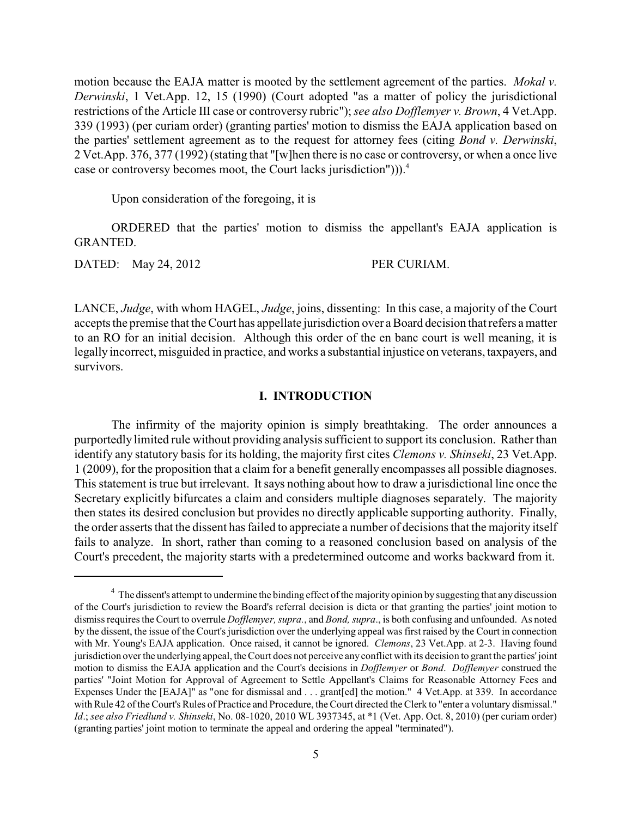motion because the EAJA matter is mooted by the settlement agreement of the parties. *Mokal v. Derwinski*, 1 Vet.App. 12, 15 (1990) (Court adopted "as a matter of policy the jurisdictional restrictions of the Article III case or controversy rubric"); *see also Dofflemyer v. Brown*, 4 Vet.App. 339 (1993) (per curiam order) (granting parties' motion to dismiss the EAJA application based on the parties' settlement agreement as to the request for attorney fees (citing *Bond v. Derwinski*, 2 Vet.App. 376, 377 (1992) (stating that "[w]hen there is no case or controversy, or when a once live case or controversy becomes moot, the Court lacks jurisdiction"))).<sup>4</sup>

Upon consideration of the foregoing, it is

ORDERED that the parties' motion to dismiss the appellant's EAJA application is GRANTED.

DATED: May 24, 2012 PER CURIAM.

LANCE, *Judge*, with whom HAGEL, *Judge*, joins, dissenting: In this case, a majority of the Court accepts the premise that the Court has appellate jurisdiction over a Board decision that refers a matter to an RO for an initial decision. Although this order of the en banc court is well meaning, it is legally incorrect, misguided in practice, and works a substantial injustice on veterans, taxpayers, and survivors.

### **I. INTRODUCTION**

The infirmity of the majority opinion is simply breathtaking. The order announces a purportedly limited rule without providing analysis sufficient to support its conclusion. Rather than identify any statutory basis for its holding, the majority first cites *Clemons v. Shinseki*, 23 Vet.App. 1 (2009), for the proposition that a claim for a benefit generally encompasses all possible diagnoses. This statement is true but irrelevant. It says nothing about how to draw a jurisdictional line once the Secretary explicitly bifurcates a claim and considers multiple diagnoses separately. The majority then states its desired conclusion but provides no directly applicable supporting authority. Finally, the order asserts that the dissent has failed to appreciate a number of decisions that the majority itself fails to analyze. In short, rather than coming to a reasoned conclusion based on analysis of the Court's precedent, the majority starts with a predetermined outcome and works backward from it.

 $4\,$  The dissent's attempt to undermine the binding effect of the majority opinion by suggesting that any discussion of the Court's jurisdiction to review the Board's referral decision is dicta or that granting the parties' joint motion to dismiss requires the Court to overrule *Dofflemyer, supra.*, and *Bond, supra*., is both confusing and unfounded. As noted by the dissent, the issue of the Court's jurisdiction over the underlying appeal was first raised by the Court in connection with Mr. Young's EAJA application. Once raised, it cannot be ignored. *Clemons*, 23 Vet.App. at 2-3. Having found jurisdiction over the underlying appeal, the Court does not perceive any conflict with its decision to grant the parties' joint motion to dismiss the EAJA application and the Court's decisions in *Dofflemyer* or *Bond*. *Dofflemyer* construed the parties' "Joint Motion for Approval of Agreement to Settle Appellant's Claims for Reasonable Attorney Fees and Expenses Under the [EAJA]" as "one for dismissal and . . . grant[ed] the motion." 4 Vet.App. at 339. In accordance with Rule 42 of the Court's Rules of Practice and Procedure, the Court directed the Clerk to "enter a voluntary dismissal." *Id*.; *see also Friedlund v. Shinseki*, No. 08-1020, 2010 WL 3937345, at \*1 (Vet. App. Oct. 8, 2010) (per curiam order) (granting parties' joint motion to terminate the appeal and ordering the appeal "terminated").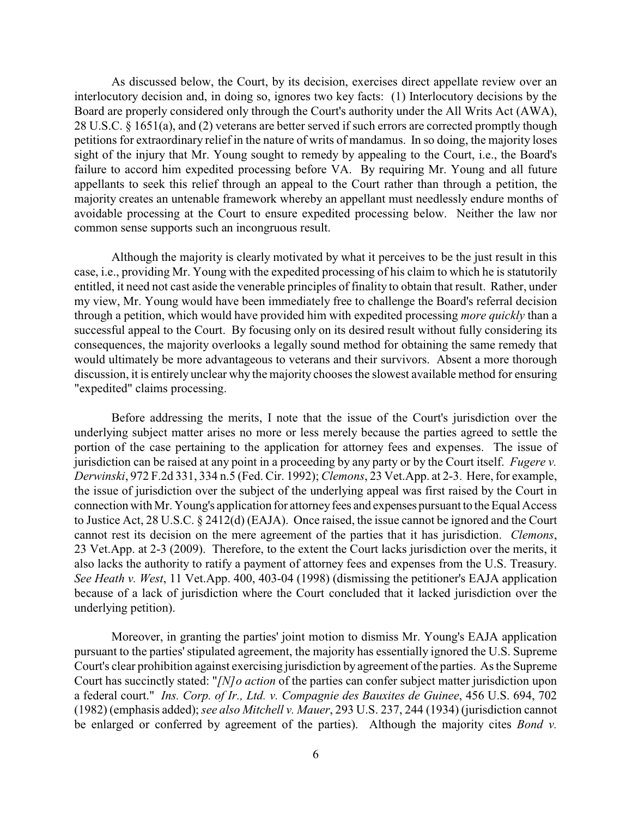As discussed below, the Court, by its decision, exercises direct appellate review over an interlocutory decision and, in doing so, ignores two key facts: (1) Interlocutory decisions by the Board are properly considered only through the Court's authority under the All Writs Act (AWA), 28 U.S.C. § 1651(a), and (2) veterans are better served if such errors are corrected promptly though petitions for extraordinary relief in the nature of writs of mandamus. In so doing, the majority loses sight of the injury that Mr. Young sought to remedy by appealing to the Court, i.e., the Board's failure to accord him expedited processing before VA. By requiring Mr. Young and all future appellants to seek this relief through an appeal to the Court rather than through a petition, the majority creates an untenable framework whereby an appellant must needlessly endure months of avoidable processing at the Court to ensure expedited processing below. Neither the law nor common sense supports such an incongruous result.

Although the majority is clearly motivated by what it perceives to be the just result in this case, i.e., providing Mr. Young with the expedited processing of his claim to which he is statutorily entitled, it need not cast aside the venerable principles of finality to obtain that result. Rather, under my view, Mr. Young would have been immediately free to challenge the Board's referral decision through a petition, which would have provided him with expedited processing *more quickly* than a successful appeal to the Court. By focusing only on its desired result without fully considering its consequences, the majority overlooks a legally sound method for obtaining the same remedy that would ultimately be more advantageous to veterans and their survivors. Absent a more thorough discussion, it is entirely unclear why the majority chooses the slowest available method for ensuring "expedited" claims processing.

Before addressing the merits, I note that the issue of the Court's jurisdiction over the underlying subject matter arises no more or less merely because the parties agreed to settle the portion of the case pertaining to the application for attorney fees and expenses. The issue of jurisdiction can be raised at any point in a proceeding by any party or by the Court itself. *Fugere v. Derwinski*, 972 F.2d 331, 334 n.5 (Fed. Cir. 1992); *Clemons*, 23 Vet.App. at 2-3. Here, for example, the issue of jurisdiction over the subject of the underlying appeal was first raised by the Court in connection with Mr. Young's application for attorneyfees and expenses pursuant to the Equal Access to Justice Act, 28 U.S.C. § 2412(d) (EAJA). Once raised, the issue cannot be ignored and the Court cannot rest its decision on the mere agreement of the parties that it has jurisdiction. *Clemons*, 23 Vet.App. at 2-3 (2009). Therefore, to the extent the Court lacks jurisdiction over the merits, it also lacks the authority to ratify a payment of attorney fees and expenses from the U.S. Treasury. *See Heath v. West*, 11 Vet.App. 400, 403-04 (1998) (dismissing the petitioner's EAJA application because of a lack of jurisdiction where the Court concluded that it lacked jurisdiction over the underlying petition).

Moreover, in granting the parties' joint motion to dismiss Mr. Young's EAJA application pursuant to the parties'stipulated agreement, the majority has essentially ignored the U.S. Supreme Court's clear prohibition against exercising jurisdiction by agreement of the parties. As the Supreme Court has succinctly stated: "*[N]o action* of the parties can confer subject matter jurisdiction upon a federal court." *Ins. Corp. of Ir., Ltd. v. Compagnie des Bauxites de Guinee*, 456 U.S. 694, 702 (1982) (emphasis added); *see also Mitchell v. Mauer*, 293 U.S. 237, 244 (1934) (jurisdiction cannot be enlarged or conferred by agreement of the parties). Although the majority cites *Bond v.*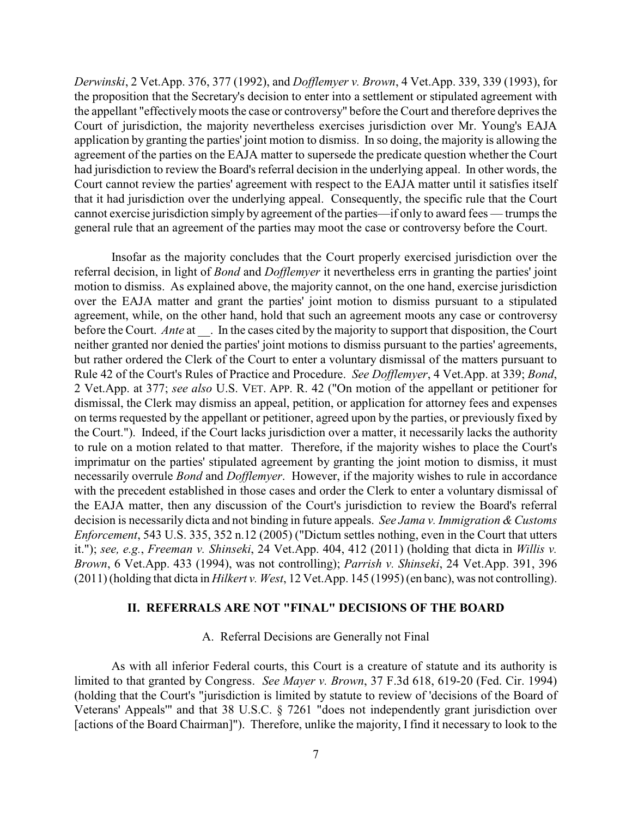*Derwinski*, 2 Vet.App. 376, 377 (1992), and *Dofflemyer v. Brown*, 4 Vet.App. 339, 339 (1993), for the proposition that the Secretary's decision to enter into a settlement or stipulated agreement with the appellant "effectivelymoots the case or controversy" before the Court and therefore deprives the Court of jurisdiction, the majority nevertheless exercises jurisdiction over Mr. Young's EAJA application by granting the parties' joint motion to dismiss. In so doing, the majority is allowing the agreement of the parties on the EAJA matter to supersede the predicate question whether the Court had jurisdiction to review the Board's referral decision in the underlying appeal. In other words, the Court cannot review the parties' agreement with respect to the EAJA matter until it satisfies itself that it had jurisdiction over the underlying appeal. Consequently, the specific rule that the Court cannot exercise jurisdiction simply by agreement of the parties—if only to award fees — trumps the general rule that an agreement of the parties may moot the case or controversy before the Court.

Insofar as the majority concludes that the Court properly exercised jurisdiction over the referral decision, in light of *Bond* and *Dofflemyer* it nevertheless errs in granting the parties' joint motion to dismiss. As explained above, the majority cannot, on the one hand, exercise jurisdiction over the EAJA matter and grant the parties' joint motion to dismiss pursuant to a stipulated agreement, while, on the other hand, hold that such an agreement moots any case or controversy before the Court. *Ante* at \_\_\_. In the cases cited by the majority to support that disposition, the Court neither granted nor denied the parties' joint motions to dismiss pursuant to the parties' agreements, but rather ordered the Clerk of the Court to enter a voluntary dismissal of the matters pursuant to Rule 42 of the Court's Rules of Practice and Procedure. *See Dofflemyer*, 4 Vet.App. at 339; *Bond*, 2 Vet.App. at 377; *see also* U.S. VET. APP. R. 42 ("On motion of the appellant or petitioner for dismissal, the Clerk may dismiss an appeal, petition, or application for attorney fees and expenses on terms requested by the appellant or petitioner, agreed upon by the parties, or previously fixed by the Court."). Indeed, if the Court lacks jurisdiction over a matter, it necessarily lacks the authority to rule on a motion related to that matter. Therefore, if the majority wishes to place the Court's imprimatur on the parties' stipulated agreement by granting the joint motion to dismiss, it must necessarily overrule *Bond* and *Dofflemyer*. However, if the majority wishes to rule in accordance with the precedent established in those cases and order the Clerk to enter a voluntary dismissal of the EAJA matter, then any discussion of the Court's jurisdiction to review the Board's referral decision is necessarily dicta and not binding in future appeals. *See Jama v. Immigration & Customs Enforcement*, 543 U.S. 335, 352 n.12 (2005) ("Dictum settles nothing, even in the Court that utters it."); *see, e.g.*, *Freeman v. Shinseki*, 24 Vet.App. 404, 412 (2011) (holding that dicta in *Willis v. Brown*, 6 Vet.App. 433 (1994), was not controlling); *Parrish v. Shinseki*, 24 Vet.App. 391, 396 (2011) (holding that dicta in *Hilkert v. West*, 12 Vet.App. 145 (1995) (en banc), was not controlling).

# **II. REFERRALS ARE NOT "FINAL" DECISIONS OF THE BOARD**

#### A. Referral Decisions are Generally not Final

As with all inferior Federal courts, this Court is a creature of statute and its authority is limited to that granted by Congress. *See Mayer v. Brown*, 37 F.3d 618, 619-20 (Fed. Cir. 1994) (holding that the Court's "jurisdiction is limited by statute to review of 'decisions of the Board of Veterans' Appeals'" and that 38 U.S.C. § 7261 "does not independently grant jurisdiction over [actions of the Board Chairman]"). Therefore, unlike the majority, I find it necessary to look to the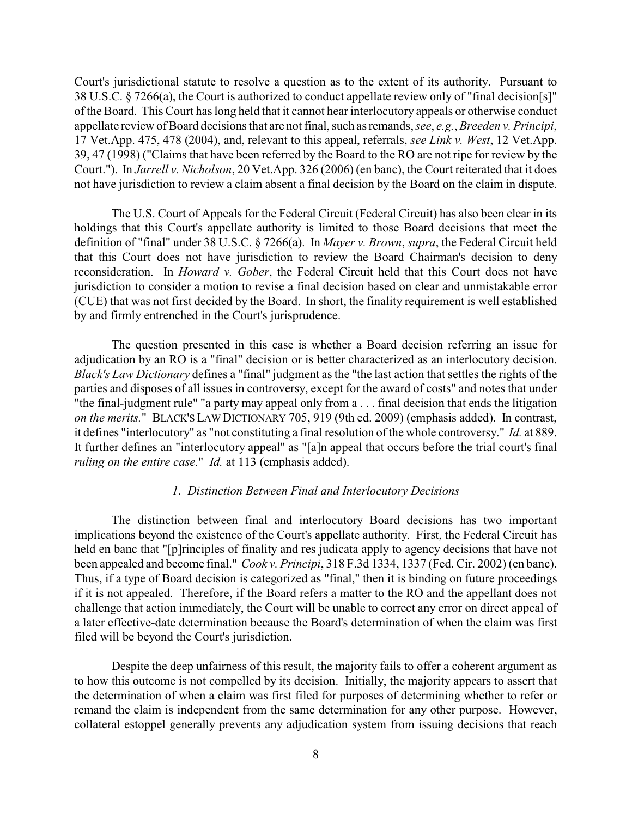Court's jurisdictional statute to resolve a question as to the extent of its authority. Pursuant to 38 U.S.C. § 7266(a), the Court is authorized to conduct appellate review only of "final decision[s]" of the Board. This Court has long held that it cannot hear interlocutory appeals or otherwise conduct appellate review of Board decisions that are not final, such as remands, *see*, *e.g.*, *Breeden v. Principi*, 17 Vet.App. 475, 478 (2004), and, relevant to this appeal, referrals, *see Link v. West*, 12 Vet.App. 39, 47 (1998) ("Claims that have been referred by the Board to the RO are not ripe for review by the Court."). In *Jarrell v. Nicholson*, 20 Vet.App. 326 (2006) (en banc), the Court reiterated that it does not have jurisdiction to review a claim absent a final decision by the Board on the claim in dispute.

The U.S. Court of Appeals for the Federal Circuit (Federal Circuit) has also been clear in its holdings that this Court's appellate authority is limited to those Board decisions that meet the definition of "final" under 38 U.S.C. § 7266(a). In *Mayer v. Brown*, *supra*, the Federal Circuit held that this Court does not have jurisdiction to review the Board Chairman's decision to deny reconsideration. In *Howard v. Gober*, the Federal Circuit held that this Court does not have jurisdiction to consider a motion to revise a final decision based on clear and unmistakable error (CUE) that was not first decided by the Board. In short, the finality requirement is well established by and firmly entrenched in the Court's jurisprudence.

The question presented in this case is whether a Board decision referring an issue for adjudication by an RO is a "final" decision or is better characterized as an interlocutory decision. *Black's Law Dictionary* defines a "final" judgment as the "the last action that settles the rights of the parties and disposes of all issues in controversy, except for the award of costs" and notes that under "the final-judgment rule" "a party may appeal only from a . . . final decision that ends the litigation *on the merits.*" BLACK'S LAW DICTIONARY 705, 919 (9th ed. 2009) (emphasis added). In contrast, it defines "interlocutory" as "not constituting a final resolution of the whole controversy." *Id.* at 889. It further defines an "interlocutory appeal" as "[a]n appeal that occurs before the trial court's final *ruling on the entire case.*" *Id.* at 113 (emphasis added).

## *1. Distinction Between Final and Interlocutory Decisions*

The distinction between final and interlocutory Board decisions has two important implications beyond the existence of the Court's appellate authority. First, the Federal Circuit has held en banc that "[p]rinciples of finality and res judicata apply to agency decisions that have not been appealed and become final." *Cook v. Principi*, 318 F.3d 1334, 1337 (Fed. Cir. 2002) (en banc). Thus, if a type of Board decision is categorized as "final," then it is binding on future proceedings if it is not appealed. Therefore, if the Board refers a matter to the RO and the appellant does not challenge that action immediately, the Court will be unable to correct any error on direct appeal of a later effective-date determination because the Board's determination of when the claim was first filed will be beyond the Court's jurisdiction.

Despite the deep unfairness of this result, the majority fails to offer a coherent argument as to how this outcome is not compelled by its decision. Initially, the majority appears to assert that the determination of when a claim was first filed for purposes of determining whether to refer or remand the claim is independent from the same determination for any other purpose. However, collateral estoppel generally prevents any adjudication system from issuing decisions that reach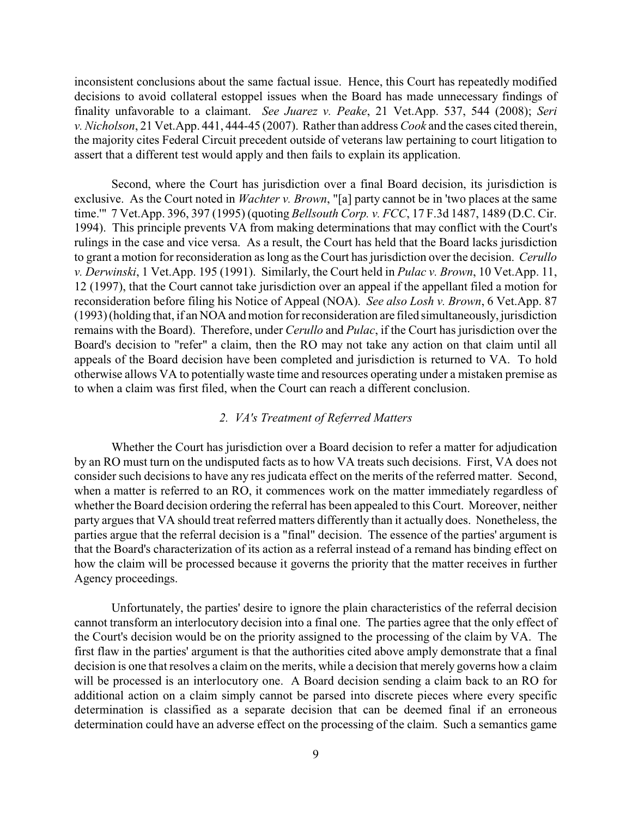inconsistent conclusions about the same factual issue. Hence, this Court has repeatedly modified decisions to avoid collateral estoppel issues when the Board has made unnecessary findings of finality unfavorable to a claimant. *See Juarez v. Peake*, 21 Vet.App. 537, 544 (2008); *Seri v. Nicholson*, 21 Vet.App. 441, 444-45 (2007). Rather than address *Cook* and the cases cited therein, the majority cites Federal Circuit precedent outside of veterans law pertaining to court litigation to assert that a different test would apply and then fails to explain its application.

Second, where the Court has jurisdiction over a final Board decision, its jurisdiction is exclusive. As the Court noted in *Wachter v. Brown*, "[a] party cannot be in 'two places at the same time.'" 7 Vet.App. 396, 397 (1995) (quoting *Bellsouth Corp. v. FCC*, 17 F.3d 1487, 1489 (D.C. Cir. 1994). This principle prevents VA from making determinations that may conflict with the Court's rulings in the case and vice versa. As a result, the Court has held that the Board lacks jurisdiction to grant a motion for reconsideration as long as the Court has jurisdiction over the decision. *Cerullo v. Derwinski*, 1 Vet.App. 195 (1991). Similarly, the Court held in *Pulac v. Brown*, 10 Vet.App. 11, 12 (1997), that the Court cannot take jurisdiction over an appeal if the appellant filed a motion for reconsideration before filing his Notice of Appeal (NOA). *See also Losh v. Brown*, 6 Vet.App. 87 (1993) (holding that, if an NOA and motion for reconsideration are filed simultaneously, jurisdiction remains with the Board). Therefore, under *Cerullo* and *Pulac*, if the Court has jurisdiction over the Board's decision to "refer" a claim, then the RO may not take any action on that claim until all appeals of the Board decision have been completed and jurisdiction is returned to VA. To hold otherwise allows VA to potentially waste time and resources operating under a mistaken premise as to when a claim was first filed, when the Court can reach a different conclusion.

## *2. VA's Treatment of Referred Matters*

Whether the Court has jurisdiction over a Board decision to refer a matter for adjudication by an RO must turn on the undisputed facts as to how VA treats such decisions. First, VA does not consider such decisions to have any res judicata effect on the merits of the referred matter. Second, when a matter is referred to an RO, it commences work on the matter immediately regardless of whether the Board decision ordering the referral has been appealed to this Court. Moreover, neither party argues that VA should treat referred matters differently than it actually does. Nonetheless, the parties argue that the referral decision is a "final" decision. The essence of the parties' argument is that the Board's characterization of its action as a referral instead of a remand has binding effect on how the claim will be processed because it governs the priority that the matter receives in further Agency proceedings.

Unfortunately, the parties' desire to ignore the plain characteristics of the referral decision cannot transform an interlocutory decision into a final one. The parties agree that the only effect of the Court's decision would be on the priority assigned to the processing of the claim by VA. The first flaw in the parties' argument is that the authorities cited above amply demonstrate that a final decision is one that resolves a claim on the merits, while a decision that merely governs how a claim will be processed is an interlocutory one. A Board decision sending a claim back to an RO for additional action on a claim simply cannot be parsed into discrete pieces where every specific determination is classified as a separate decision that can be deemed final if an erroneous determination could have an adverse effect on the processing of the claim. Such a semantics game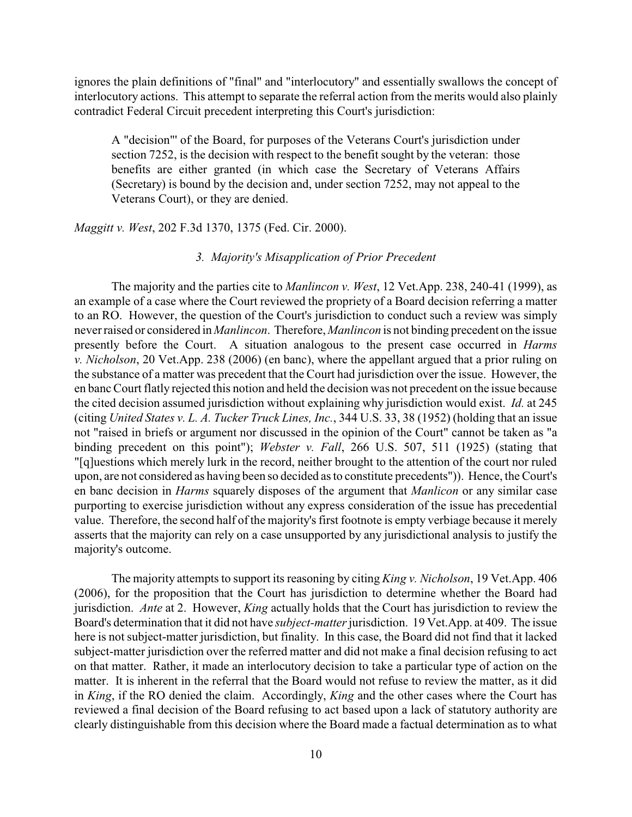ignores the plain definitions of "final" and "interlocutory" and essentially swallows the concept of interlocutory actions. This attempt to separate the referral action from the merits would also plainly contradict Federal Circuit precedent interpreting this Court's jurisdiction:

A "decision"' of the Board, for purposes of the Veterans Court's jurisdiction under section 7252, is the decision with respect to the benefit sought by the veteran: those benefits are either granted (in which case the Secretary of Veterans Affairs (Secretary) is bound by the decision and, under section 7252, may not appeal to the Veterans Court), or they are denied.

*Maggitt v. West*, 202 F.3d 1370, 1375 (Fed. Cir. 2000).

# *3. Majority's Misapplication of Prior Precedent*

The majority and the parties cite to *Manlincon v. West*, 12 Vet.App. 238, 240-41 (1999), as an example of a case where the Court reviewed the propriety of a Board decision referring a matter to an RO. However, the question of the Court's jurisdiction to conduct such a review was simply neverraised or considered in *Manlincon*. Therefore, *Manlincon* is not binding precedent on the issue presently before the Court. A situation analogous to the present case occurred in *Harms v. Nicholson*, 20 Vet.App. 238 (2006) (en banc), where the appellant argued that a prior ruling on the substance of a matter was precedent that the Court had jurisdiction over the issue. However, the en banc Court flatly rejected this notion and held the decision was not precedent on the issue because the cited decision assumed jurisdiction without explaining why jurisdiction would exist. *Id.* at 245 (citing *United States v. L. A. Tucker Truck Lines, Inc.*, 344 U.S. 33, 38 (1952) (holding that an issue not "raised in briefs or argument nor discussed in the opinion of the Court" cannot be taken as "a binding precedent on this point"); *Webster v. Fall*, 266 U.S. 507, 511 (1925) (stating that "[q]uestions which merely lurk in the record, neither brought to the attention of the court nor ruled upon, are not considered as having been so decided as to constitute precedents")). Hence, the Court's en banc decision in *Harms* squarely disposes of the argument that *Manlicon* or any similar case purporting to exercise jurisdiction without any express consideration of the issue has precedential value. Therefore, the second half of the majority's first footnote is empty verbiage because it merely asserts that the majority can rely on a case unsupported by any jurisdictional analysis to justify the majority's outcome.

The majority attempts to support its reasoning by citing *King v. Nicholson*, 19 Vet.App. 406 (2006), for the proposition that the Court has jurisdiction to determine whether the Board had jurisdiction. *Ante* at 2. However, *King* actually holds that the Court has jurisdiction to review the Board's determination that it did not have *subject-matter*jurisdiction. 19 Vet.App. at 409. The issue here is not subject-matter jurisdiction, but finality. In this case, the Board did not find that it lacked subject-matter jurisdiction over the referred matter and did not make a final decision refusing to act on that matter. Rather, it made an interlocutory decision to take a particular type of action on the matter. It is inherent in the referral that the Board would not refuse to review the matter, as it did in *King*, if the RO denied the claim. Accordingly, *King* and the other cases where the Court has reviewed a final decision of the Board refusing to act based upon a lack of statutory authority are clearly distinguishable from this decision where the Board made a factual determination as to what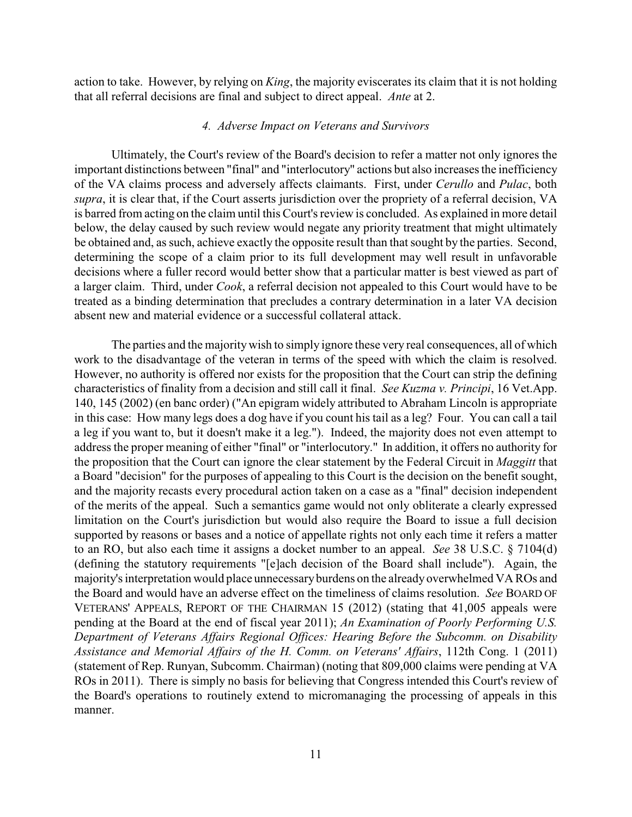action to take. However, by relying on *King*, the majority eviscerates its claim that it is not holding that all referral decisions are final and subject to direct appeal. *Ante* at 2.

### *4. Adverse Impact on Veterans and Survivors*

Ultimately, the Court's review of the Board's decision to refer a matter not only ignores the important distinctions between "final" and "interlocutory" actions but also increases the inefficiency of the VA claims process and adversely affects claimants. First, under *Cerullo* and *Pulac*, both *supra*, it is clear that, if the Court asserts jurisdiction over the propriety of a referral decision, VA is barred from acting on the claim until this Court's review is concluded. As explained in more detail below, the delay caused by such review would negate any priority treatment that might ultimately be obtained and, as such, achieve exactly the opposite result than that sought by the parties. Second, determining the scope of a claim prior to its full development may well result in unfavorable decisions where a fuller record would better show that a particular matter is best viewed as part of a larger claim. Third, under *Cook*, a referral decision not appealed to this Court would have to be treated as a binding determination that precludes a contrary determination in a later VA decision absent new and material evidence or a successful collateral attack.

The parties and the majority wish to simply ignore these very real consequences, all of which work to the disadvantage of the veteran in terms of the speed with which the claim is resolved. However, no authority is offered nor exists for the proposition that the Court can strip the defining characteristics of finality from a decision and still call it final. *See Kuzma v. Principi*, 16 Vet.App. 140, 145 (2002) (en banc order) ("An epigram widely attributed to Abraham Lincoln is appropriate in this case: How many legs does a dog have if you count his tail as a leg? Four. You can call a tail a leg if you want to, but it doesn't make it a leg."). Indeed, the majority does not even attempt to address the proper meaning of either "final" or "interlocutory." In addition, it offers no authority for the proposition that the Court can ignore the clear statement by the Federal Circuit in *Maggitt* that a Board "decision" for the purposes of appealing to this Court is the decision on the benefit sought, and the majority recasts every procedural action taken on a case as a "final" decision independent of the merits of the appeal. Such a semantics game would not only obliterate a clearly expressed limitation on the Court's jurisdiction but would also require the Board to issue a full decision supported by reasons or bases and a notice of appellate rights not only each time it refers a matter to an RO, but also each time it assigns a docket number to an appeal. *See* 38 U.S.C. § 7104(d) (defining the statutory requirements "[e]ach decision of the Board shall include"). Again, the majority's interpretation would place unnecessaryburdens on the already overwhelmed VA ROs and the Board and would have an adverse effect on the timeliness of claims resolution. *See* BOARD OF VETERANS' APPEALS, REPORT OF THE CHAIRMAN 15 (2012) (stating that 41,005 appeals were pending at the Board at the end of fiscal year 2011); *An Examination of Poorly Performing U.S. Department of Veterans Affairs Regional Offices: Hearing Before the Subcomm. on Disability Assistance and Memorial Affairs of the H. Comm. on Veterans' Affairs*, 112th Cong. 1 (2011) (statement of Rep. Runyan, Subcomm. Chairman) (noting that 809,000 claims were pending at VA ROs in 2011). There is simply no basis for believing that Congress intended this Court's review of the Board's operations to routinely extend to micromanaging the processing of appeals in this manner.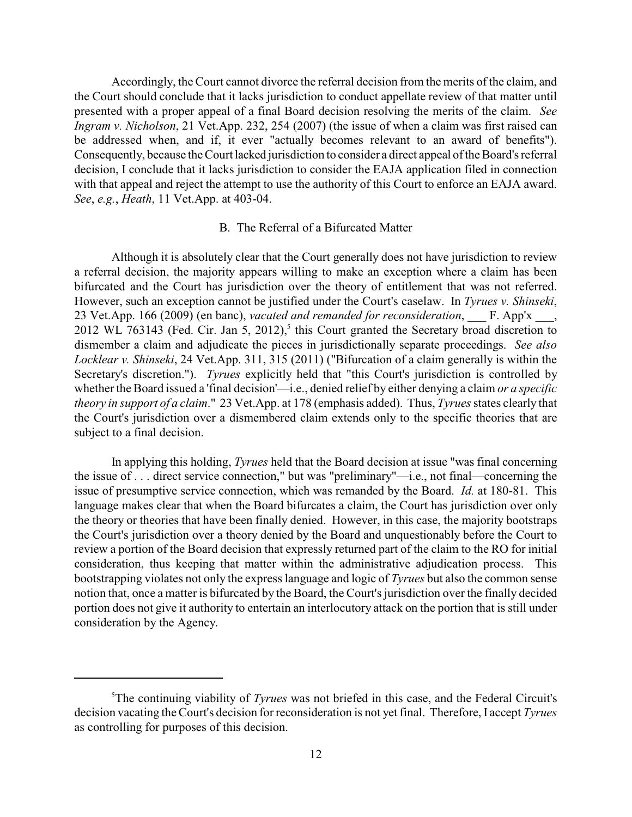Accordingly, the Court cannot divorce the referral decision from the merits of the claim, and the Court should conclude that it lacks jurisdiction to conduct appellate review of that matter until presented with a proper appeal of a final Board decision resolving the merits of the claim. *See Ingram v. Nicholson*, 21 Vet.App. 232, 254 (2007) (the issue of when a claim was first raised can be addressed when, and if, it ever "actually becomes relevant to an award of benefits"). Consequently, because the Court lacked jurisdiction to consider a direct appeal of the Board's referral decision, I conclude that it lacks jurisdiction to consider the EAJA application filed in connection with that appeal and reject the attempt to use the authority of this Court to enforce an EAJA award. *See*, *e.g.*, *Heath*, 11 Vet.App. at 403-04.

### B. The Referral of a Bifurcated Matter

Although it is absolutely clear that the Court generally does not have jurisdiction to review a referral decision, the majority appears willing to make an exception where a claim has been bifurcated and the Court has jurisdiction over the theory of entitlement that was not referred. However, such an exception cannot be justified under the Court's caselaw. In *Tyrues v. Shinseki*, 23 Vet.App. 166 (2009) (en banc), *vacated and remanded for reconsideration*, **F. App'x**, 2012 WL 763143 (Fed. Cir. Jan 5, 2012),<sup>5</sup> this Court granted the Secretary broad discretion to dismember a claim and adjudicate the pieces in jurisdictionally separate proceedings. *See also Locklear v. Shinseki*, 24 Vet.App. 311, 315 (2011) ("Bifurcation of a claim generally is within the Secretary's discretion."). *Tyrues* explicitly held that "this Court's jurisdiction is controlled by whether the Board issued a 'final decision'—i.e., denied relief by either denying a claim *or a specific theory in support of a claim*." 23 Vet.App. at 178 (emphasis added). Thus, *Tyrues* states clearly that the Court's jurisdiction over a dismembered claim extends only to the specific theories that are subject to a final decision.

In applying this holding, *Tyrues* held that the Board decision at issue "was final concerning the issue of . . . direct service connection," but was "preliminary"—i.e., not final—concerning the issue of presumptive service connection, which was remanded by the Board. *Id.* at 180-81. This language makes clear that when the Board bifurcates a claim, the Court has jurisdiction over only the theory or theories that have been finally denied. However, in this case, the majority bootstraps the Court's jurisdiction over a theory denied by the Board and unquestionably before the Court to review a portion of the Board decision that expressly returned part of the claim to the RO for initial consideration, thus keeping that matter within the administrative adjudication process. This bootstrapping violates not only the express language and logic of *Tyrues* but also the common sense notion that, once a matter is bifurcated by the Board, the Court's jurisdiction over the finally decided portion does not give it authority to entertain an interlocutory attack on the portion that is still under consideration by the Agency.

<sup>&</sup>lt;sup>5</sup>The continuing viability of *Tyrues* was not briefed in this case, and the Federal Circuit's decision vacating the Court's decision for reconsideration is not yet final. Therefore, I accept *Tyrues* as controlling for purposes of this decision.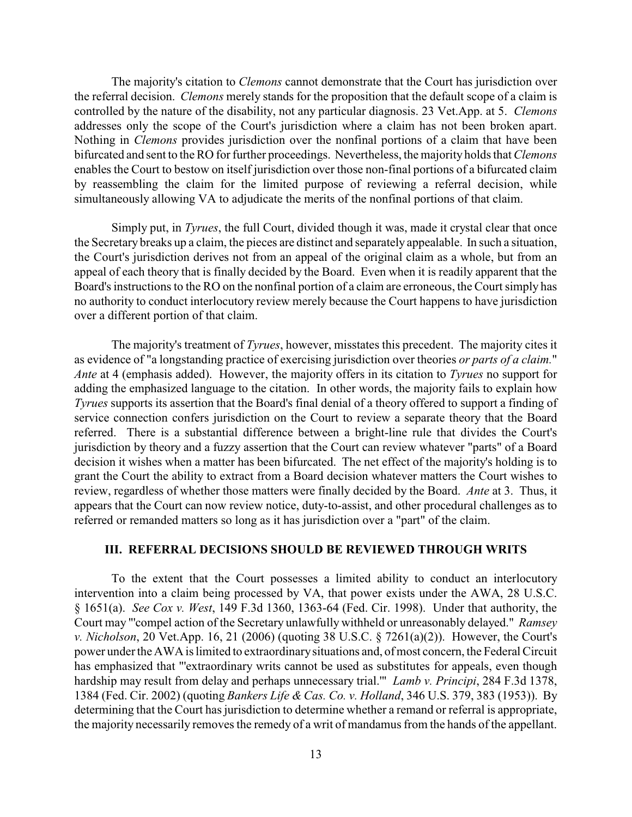The majority's citation to *Clemons* cannot demonstrate that the Court has jurisdiction over the referral decision. *Clemons* merely stands for the proposition that the default scope of a claim is controlled by the nature of the disability, not any particular diagnosis. 23 Vet.App. at 5. *Clemons* addresses only the scope of the Court's jurisdiction where a claim has not been broken apart. Nothing in *Clemons* provides jurisdiction over the nonfinal portions of a claim that have been bifurcated and sent to the RO for further proceedings. Nevertheless, the majority holds that *Clemons* enables the Court to bestow on itself jurisdiction over those non-final portions of a bifurcated claim by reassembling the claim for the limited purpose of reviewing a referral decision, while simultaneously allowing VA to adjudicate the merits of the nonfinal portions of that claim.

Simply put, in *Tyrues*, the full Court, divided though it was, made it crystal clear that once the Secretary breaks up a claim, the pieces are distinct and separately appealable. In such a situation, the Court's jurisdiction derives not from an appeal of the original claim as a whole, but from an appeal of each theory that is finally decided by the Board. Even when it is readily apparent that the Board's instructions to the RO on the nonfinal portion of a claim are erroneous, the Court simply has no authority to conduct interlocutory review merely because the Court happens to have jurisdiction over a different portion of that claim.

The majority's treatment of *Tyrues*, however, misstates this precedent. The majority cites it as evidence of "a longstanding practice of exercising jurisdiction over theories *or parts of a claim.*" *Ante* at 4 (emphasis added). However, the majority offers in its citation to *Tyrues* no support for adding the emphasized language to the citation. In other words, the majority fails to explain how *Tyrues* supports its assertion that the Board's final denial of a theory offered to support a finding of service connection confers jurisdiction on the Court to review a separate theory that the Board referred. There is a substantial difference between a bright-line rule that divides the Court's jurisdiction by theory and a fuzzy assertion that the Court can review whatever "parts" of a Board decision it wishes when a matter has been bifurcated. The net effect of the majority's holding is to grant the Court the ability to extract from a Board decision whatever matters the Court wishes to review, regardless of whether those matters were finally decided by the Board. *Ante* at 3. Thus, it appears that the Court can now review notice, duty-to-assist, and other procedural challenges as to referred or remanded matters so long as it has jurisdiction over a "part" of the claim.

### **III. REFERRAL DECISIONS SHOULD BE REVIEWED THROUGH WRITS**

To the extent that the Court possesses a limited ability to conduct an interlocutory intervention into a claim being processed by VA, that power exists under the AWA, 28 U.S.C. § 1651(a). *See Cox v. West*, 149 F.3d 1360, 1363-64 (Fed. Cir. 1998). Under that authority, the Court may "'compel action of the Secretary unlawfully withheld or unreasonably delayed." *Ramsey v. Nicholson*, 20 Vet.App. 16, 21 (2006) (quoting 38 U.S.C. § 7261(a)(2)). However, the Court's power under the AWA is limited to extraordinarysituations and, of most concern, the Federal Circuit has emphasized that "'extraordinary writs cannot be used as substitutes for appeals, even though hardship may result from delay and perhaps unnecessary trial.'" *Lamb v. Principi*, 284 F.3d 1378, 1384 (Fed. Cir. 2002) (quoting *Bankers Life & Cas. Co. v. Holland*, 346 U.S. 379, 383 (1953)). By determining that the Court has jurisdiction to determine whether a remand or referral is appropriate, the majority necessarily removes the remedy of a writ of mandamus from the hands of the appellant.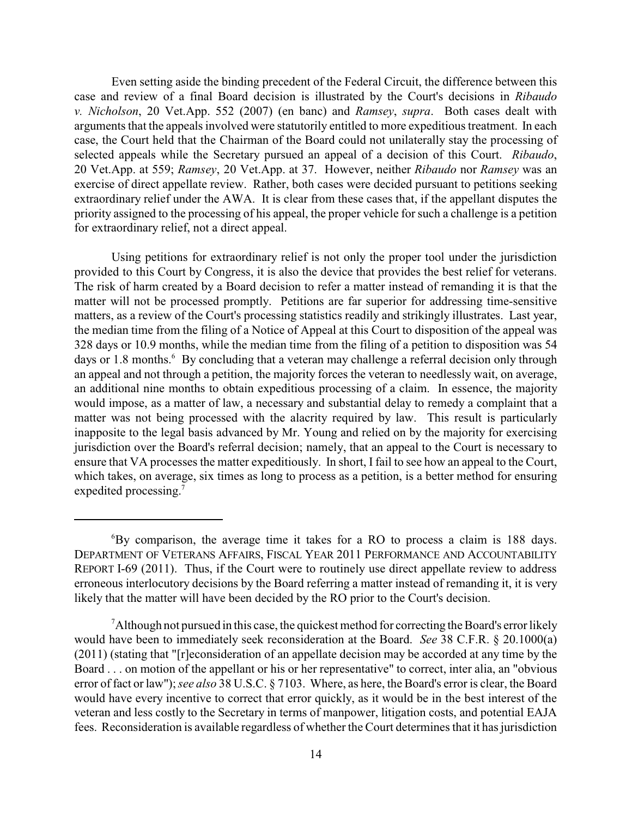Even setting aside the binding precedent of the Federal Circuit, the difference between this case and review of a final Board decision is illustrated by the Court's decisions in *Ribaudo v. Nicholson*, 20 Vet.App. 552 (2007) (en banc) and *Ramsey*, *supra*. Both cases dealt with arguments that the appeals involved were statutorily entitled to more expeditious treatment. In each case, the Court held that the Chairman of the Board could not unilaterally stay the processing of selected appeals while the Secretary pursued an appeal of a decision of this Court. *Ribaudo*, 20 Vet.App. at 559; *Ramsey*, 20 Vet.App. at 37. However, neither *Ribaudo* nor *Ramsey* was an exercise of direct appellate review. Rather, both cases were decided pursuant to petitions seeking extraordinary relief under the AWA. It is clear from these cases that, if the appellant disputes the priority assigned to the processing of his appeal, the proper vehicle for such a challenge is a petition for extraordinary relief, not a direct appeal.

Using petitions for extraordinary relief is not only the proper tool under the jurisdiction provided to this Court by Congress, it is also the device that provides the best relief for veterans. The risk of harm created by a Board decision to refer a matter instead of remanding it is that the matter will not be processed promptly. Petitions are far superior for addressing time-sensitive matters, as a review of the Court's processing statistics readily and strikingly illustrates. Last year, the median time from the filing of a Notice of Appeal at this Court to disposition of the appeal was 328 days or 10.9 months, while the median time from the filing of a petition to disposition was 54 days or 1.8 months.<sup>6</sup> By concluding that a veteran may challenge a referral decision only through an appeal and not through a petition, the majority forces the veteran to needlessly wait, on average, an additional nine months to obtain expeditious processing of a claim. In essence, the majority would impose, as a matter of law, a necessary and substantial delay to remedy a complaint that a matter was not being processed with the alacrity required by law. This result is particularly inapposite to the legal basis advanced by Mr. Young and relied on by the majority for exercising jurisdiction over the Board's referral decision; namely, that an appeal to the Court is necessary to ensure that VA processes the matter expeditiously. In short, I fail to see how an appeal to the Court, which takes, on average, six times as long to process as a petition, is a better method for ensuring expedited processing.<sup>7</sup>

<sup>&</sup>lt;sup>6</sup>By comparison, the average time it takes for a RO to process a claim is 188 days. DEPARTMENT OF VETERANS AFFAIRS, FISCAL YEAR 2011 PERFORMANCE AND ACCOUNTABILITY REPORT I-69 (2011). Thus, if the Court were to routinely use direct appellate review to address erroneous interlocutory decisions by the Board referring a matter instead of remanding it, it is very likely that the matter will have been decided by the RO prior to the Court's decision.

 $A$ lthough not pursued in this case, the quickest method for correcting the Board's error likely would have been to immediately seek reconsideration at the Board. *See* 38 C.F.R. § 20.1000(a) (2011) (stating that "[r]econsideration of an appellate decision may be accorded at any time by the Board . . . on motion of the appellant or his or her representative" to correct, inter alia, an "obvious error of fact or law"); *see also* 38 U.S.C. § 7103. Where, as here, the Board's error is clear, the Board would have every incentive to correct that error quickly, as it would be in the best interest of the veteran and less costly to the Secretary in terms of manpower, litigation costs, and potential EAJA fees. Reconsideration is available regardless of whether the Court determines that it has jurisdiction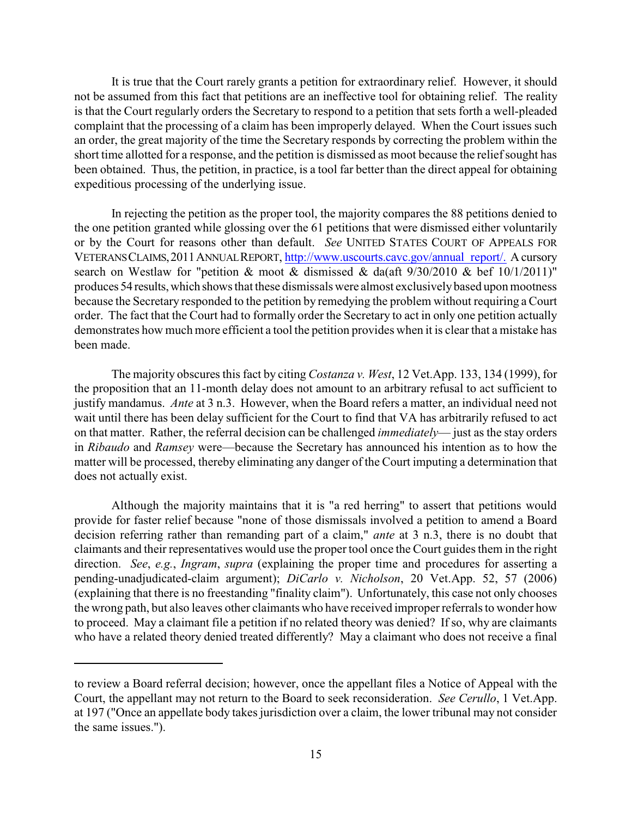It is true that the Court rarely grants a petition for extraordinary relief. However, it should not be assumed from this fact that petitions are an ineffective tool for obtaining relief. The reality is that the Court regularly orders the Secretary to respond to a petition that sets forth a well-pleaded complaint that the processing of a claim has been improperly delayed. When the Court issues such an order, the great majority of the time the Secretary responds by correcting the problem within the short time allotted for a response, and the petition is dismissed as moot because the relief sought has been obtained. Thus, the petition, in practice, is a tool far better than the direct appeal for obtaining expeditious processing of the underlying issue.

In rejecting the petition as the proper tool, the majority compares the 88 petitions denied to the one petition granted while glossing over the 61 petitions that were dismissed either voluntarily or by the Court for reasons other than default. *See* UNITED STATES COURT OF APPEALS FOR VETERANSCLAIMS,2011ANNUALREPORT, [http://www.uscourts.cavc.gov/annual\\_report/.](http://www.uscourts.cavc.gov/annual_report/.) A cursory search on Westlaw for "petition & moot  $\&$  dismissed  $\&$  da(aft 9/30/2010  $\&$  bef 10/1/2011)" produces 54 results,which shows that these dismissals were almost exclusivelybased upon mootness because the Secretary responded to the petition by remedying the problem without requiring a Court order. The fact that the Court had to formally order the Secretary to act in only one petition actually demonstrates how much more efficient a tool the petition provides when it is clear that a mistake has been made.

The majority obscures this fact by citing *Costanza v. West*, 12 Vet.App. 133, 134 (1999), for the proposition that an 11-month delay does not amount to an arbitrary refusal to act sufficient to justify mandamus. *Ante* at 3 n.3. However, when the Board refers a matter, an individual need not wait until there has been delay sufficient for the Court to find that VA has arbitrarily refused to act on that matter. Rather, the referral decision can be challenged *immediately*— just as the stay orders in *Ribaudo* and *Ramsey* were—because the Secretary has announced his intention as to how the matter will be processed, thereby eliminating any danger of the Court imputing a determination that does not actually exist.

Although the majority maintains that it is "a red herring" to assert that petitions would provide for faster relief because "none of those dismissals involved a petition to amend a Board decision referring rather than remanding part of a claim," *ante* at 3 n.3, there is no doubt that claimants and their representatives would use the propertool once the Court guides them in the right direction. *See*, *e.g.*, *Ingram*, *supra* (explaining the proper time and procedures for asserting a pending-unadjudicated-claim argument); *DiCarlo v. Nicholson*, 20 Vet.App. 52, 57 (2006) (explaining that there is no freestanding "finality claim"). Unfortunately, this case not only chooses the wrong path, but also leaves other claimants who have received improper referrals to wonder how to proceed. May a claimant file a petition if no related theory was denied? If so, why are claimants who have a related theory denied treated differently? May a claimant who does not receive a final

to review a Board referral decision; however, once the appellant files a Notice of Appeal with the Court, the appellant may not return to the Board to seek reconsideration. *See Cerullo*, 1 Vet.App. at 197 ("Once an appellate body takes jurisdiction over a claim, the lower tribunal may not consider the same issues.").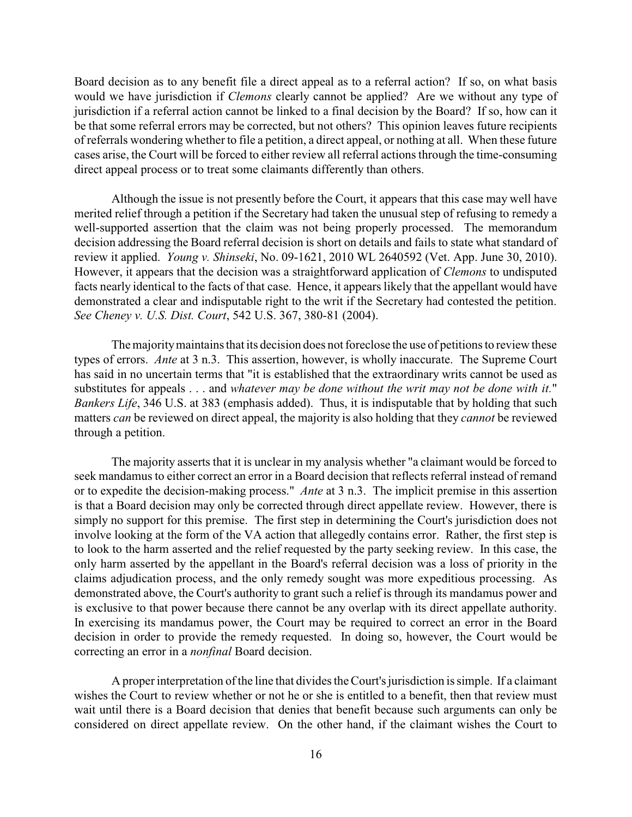Board decision as to any benefit file a direct appeal as to a referral action? If so, on what basis would we have jurisdiction if *Clemons* clearly cannot be applied? Are we without any type of jurisdiction if a referral action cannot be linked to a final decision by the Board? If so, how can it be that some referral errors may be corrected, but not others? This opinion leaves future recipients of referrals wondering whetherto file a petition, a direct appeal, or nothing at all. When these future cases arise, the Court will be forced to either review all referral actions through the time-consuming direct appeal process or to treat some claimants differently than others.

Although the issue is not presently before the Court, it appears that this case may well have merited relief through a petition if the Secretary had taken the unusual step of refusing to remedy a well-supported assertion that the claim was not being properly processed. The memorandum decision addressing the Board referral decision is short on details and fails to state what standard of review it applied. *Young v. Shinseki*, No. 09-1621, 2010 WL 2640592 (Vet. App. June 30, 2010). However, it appears that the decision was a straightforward application of *Clemons* to undisputed facts nearly identical to the facts of that case. Hence, it appears likely that the appellant would have demonstrated a clear and indisputable right to the writ if the Secretary had contested the petition. *See Cheney v. U.S. Dist. Court*, 542 U.S. 367, 380-81 (2004).

The majoritymaintains that its decision does not foreclose the use of petitions to review these types of errors. *Ante* at 3 n.3. This assertion, however, is wholly inaccurate. The Supreme Court has said in no uncertain terms that "it is established that the extraordinary writs cannot be used as substitutes for appeals . . . and *whatever may be done without the writ may not be done with it.*" *Bankers Life*, 346 U.S. at 383 (emphasis added). Thus, it is indisputable that by holding that such matters *can* be reviewed on direct appeal, the majority is also holding that they *cannot* be reviewed through a petition.

The majority asserts that it is unclear in my analysis whether "a claimant would be forced to seek mandamus to either correct an error in a Board decision that reflects referral instead of remand or to expedite the decision-making process." *Ante* at 3 n.3. The implicit premise in this assertion is that a Board decision may only be corrected through direct appellate review. However, there is simply no support for this premise. The first step in determining the Court's jurisdiction does not involve looking at the form of the VA action that allegedly contains error. Rather, the first step is to look to the harm asserted and the relief requested by the party seeking review. In this case, the only harm asserted by the appellant in the Board's referral decision was a loss of priority in the claims adjudication process, and the only remedy sought was more expeditious processing. As demonstrated above, the Court's authority to grant such a relief is through its mandamus power and is exclusive to that power because there cannot be any overlap with its direct appellate authority. In exercising its mandamus power, the Court may be required to correct an error in the Board decision in order to provide the remedy requested. In doing so, however, the Court would be correcting an error in a *nonfinal* Board decision.

A properinterpretation of the line that divides the Court's jurisdiction is simple. If a claimant wishes the Court to review whether or not he or she is entitled to a benefit, then that review must wait until there is a Board decision that denies that benefit because such arguments can only be considered on direct appellate review. On the other hand, if the claimant wishes the Court to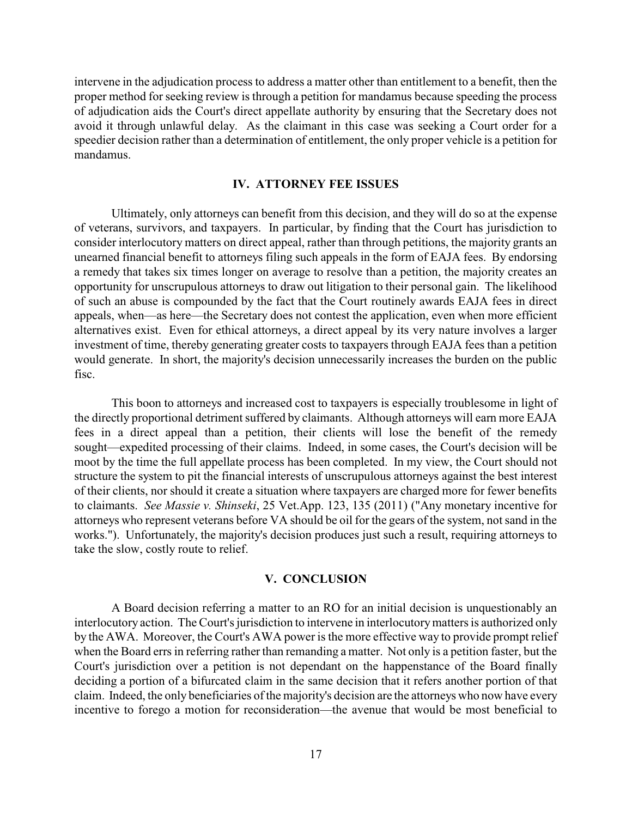intervene in the adjudication process to address a matter other than entitlement to a benefit, then the proper method for seeking review is through a petition for mandamus because speeding the process of adjudication aids the Court's direct appellate authority by ensuring that the Secretary does not avoid it through unlawful delay. As the claimant in this case was seeking a Court order for a speedier decision rather than a determination of entitlement, the only proper vehicle is a petition for mandamus.

## **IV. ATTORNEY FEE ISSUES**

Ultimately, only attorneys can benefit from this decision, and they will do so at the expense of veterans, survivors, and taxpayers. In particular, by finding that the Court has jurisdiction to consider interlocutory matters on direct appeal, rather than through petitions, the majority grants an unearned financial benefit to attorneys filing such appeals in the form of EAJA fees. By endorsing a remedy that takes six times longer on average to resolve than a petition, the majority creates an opportunity for unscrupulous attorneys to draw out litigation to their personal gain. The likelihood of such an abuse is compounded by the fact that the Court routinely awards EAJA fees in direct appeals, when—as here—the Secretary does not contest the application, even when more efficient alternatives exist. Even for ethical attorneys, a direct appeal by its very nature involves a larger investment of time, thereby generating greater costs to taxpayers through EAJA fees than a petition would generate. In short, the majority's decision unnecessarily increases the burden on the public fisc.

This boon to attorneys and increased cost to taxpayers is especially troublesome in light of the directly proportional detriment suffered by claimants. Although attorneys will earn more EAJA fees in a direct appeal than a petition, their clients will lose the benefit of the remedy sought—expedited processing of their claims. Indeed, in some cases, the Court's decision will be moot by the time the full appellate process has been completed. In my view, the Court should not structure the system to pit the financial interests of unscrupulous attorneys against the best interest of their clients, nor should it create a situation where taxpayers are charged more for fewer benefits to claimants. *See Massie v. Shinseki*, 25 Vet.App. 123, 135 (2011) ("Any monetary incentive for attorneys who represent veterans before VA should be oil for the gears of the system, not sand in the works."). Unfortunately, the majority's decision produces just such a result, requiring attorneys to take the slow, costly route to relief.

## **V. CONCLUSION**

A Board decision referring a matter to an RO for an initial decision is unquestionably an interlocutory action. The Court's jurisdiction to intervene in interlocutorymatters is authorized only by the AWA. Moreover, the Court's AWA power is the more effective way to provide prompt relief when the Board errs in referring rather than remanding a matter. Not only is a petition faster, but the Court's jurisdiction over a petition is not dependant on the happenstance of the Board finally deciding a portion of a bifurcated claim in the same decision that it refers another portion of that claim. Indeed, the only beneficiaries of the majority's decision are the attorneys who now have every incentive to forego a motion for reconsideration—the avenue that would be most beneficial to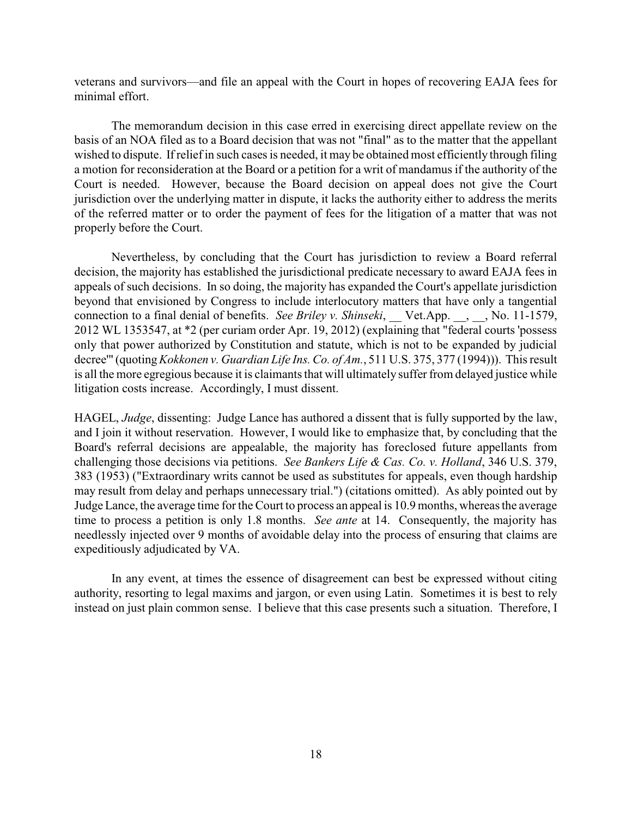veterans and survivors—and file an appeal with the Court in hopes of recovering EAJA fees for minimal effort.

The memorandum decision in this case erred in exercising direct appellate review on the basis of an NOA filed as to a Board decision that was not "final" as to the matter that the appellant wished to dispute. If relief in such cases is needed, it may be obtained most efficiently through filing a motion for reconsideration at the Board or a petition for a writ of mandamus if the authority of the Court is needed. However, because the Board decision on appeal does not give the Court jurisdiction over the underlying matter in dispute, it lacks the authority either to address the merits of the referred matter or to order the payment of fees for the litigation of a matter that was not properly before the Court.

Nevertheless, by concluding that the Court has jurisdiction to review a Board referral decision, the majority has established the jurisdictional predicate necessary to award EAJA fees in appeals of such decisions. In so doing, the majority has expanded the Court's appellate jurisdiction beyond that envisioned by Congress to include interlocutory matters that have only a tangential connection to a final denial of benefits. *See Briley v. Shinseki*, Vet.App. , , No. 11-1579, 2012 WL 1353547, at \*2 (per curiam order Apr. 19, 2012) (explaining that "federal courts 'possess only that power authorized by Constitution and statute, which is not to be expanded by judicial decree'" (quoting*Kokkonen v. Guardian Life Ins. Co. of Am.*, 511 U.S. 375, 377 (1994))). This result is all the more egregious because it is claimants that will ultimately suffer from delayed justice while litigation costs increase. Accordingly, I must dissent.

HAGEL, *Judge*, dissenting: Judge Lance has authored a dissent that is fully supported by the law, and I join it without reservation. However, I would like to emphasize that, by concluding that the Board's referral decisions are appealable, the majority has foreclosed future appellants from challenging those decisions via petitions. *See Bankers Life & Cas. Co. v. Holland*, 346 U.S. 379, 383 (1953) ("Extraordinary writs cannot be used as substitutes for appeals, even though hardship may result from delay and perhaps unnecessary trial.") (citations omitted). As ably pointed out by Judge Lance, the average time for the Court to process an appeal is 10.9 months, whereas the average time to process a petition is only 1.8 months. *See ante* at 14. Consequently, the majority has needlessly injected over 9 months of avoidable delay into the process of ensuring that claims are expeditiously adjudicated by VA.

In any event, at times the essence of disagreement can best be expressed without citing authority, resorting to legal maxims and jargon, or even using Latin. Sometimes it is best to rely instead on just plain common sense. I believe that this case presents such a situation. Therefore, I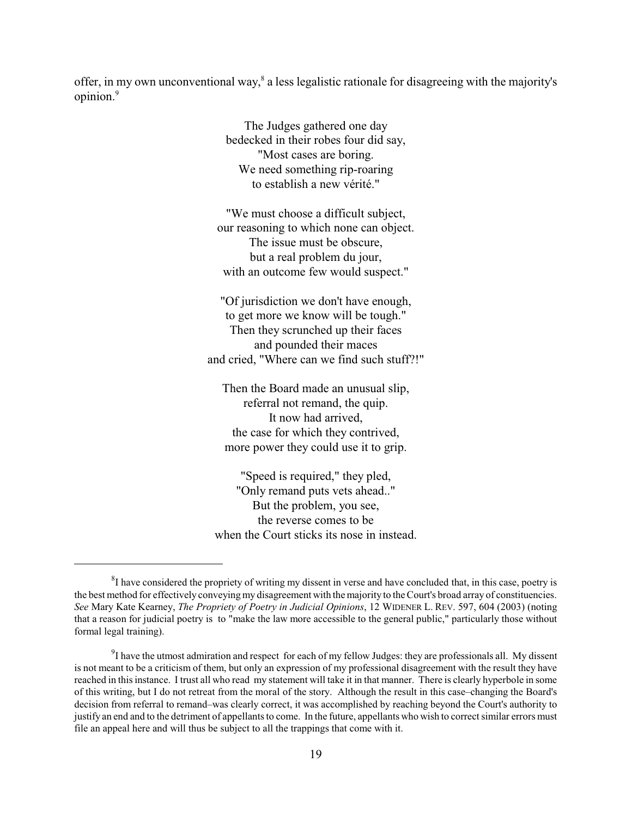offer, in my own unconventional way,<sup>8</sup> a less legalistic rationale for disagreeing with the majority's opinion.<sup>9</sup>

> The Judges gathered one day bedecked in their robes four did say, "Most cases are boring. We need something rip-roaring to establish a new vérité."

"We must choose a difficult subject, our reasoning to which none can object. The issue must be obscure, but a real problem du jour, with an outcome few would suspect."

"Of jurisdiction we don't have enough, to get more we know will be tough." Then they scrunched up their faces and pounded their maces and cried, "Where can we find such stuff?!"

Then the Board made an unusual slip, referral not remand, the quip. It now had arrived, the case for which they contrived, more power they could use it to grip.

"Speed is required," they pled, "Only remand puts vets ahead.." But the problem, you see, the reverse comes to be when the Court sticks its nose in instead.

 ${}^{8}I$  have considered the propriety of writing my dissent in verse and have concluded that, in this case, poetry is the best method for effectively conveyingmy disagreement with the majority to the Court's broad array of constituencies. *See* Mary Kate Kearney, *The Propriety of Poetry in Judicial Opinions*, 12 WIDENER L. REV. 597, 604 (2003) (noting that a reason for judicial poetry is to "make the law more accessible to the general public," particularly those without formal legal training).

 $\rm{^{9}I}$  have the utmost admiration and respect for each of my fellow Judges: they are professionals all. My dissent is not meant to be a criticism of them, but only an expression of my professional disagreement with the result they have reached in thisinstance. I trust all who read my statement will take it in that manner. There is clearly hyperbole in some of this writing, but I do not retreat from the moral of the story. Although the result in this case–changing the Board's decision from referral to remand–was clearly correct, it was accomplished by reaching beyond the Court's authority to justify an end and to the detriment of appellants to come. In the future, appellants who wish to correct similar errors must file an appeal here and will thus be subject to all the trappings that come with it.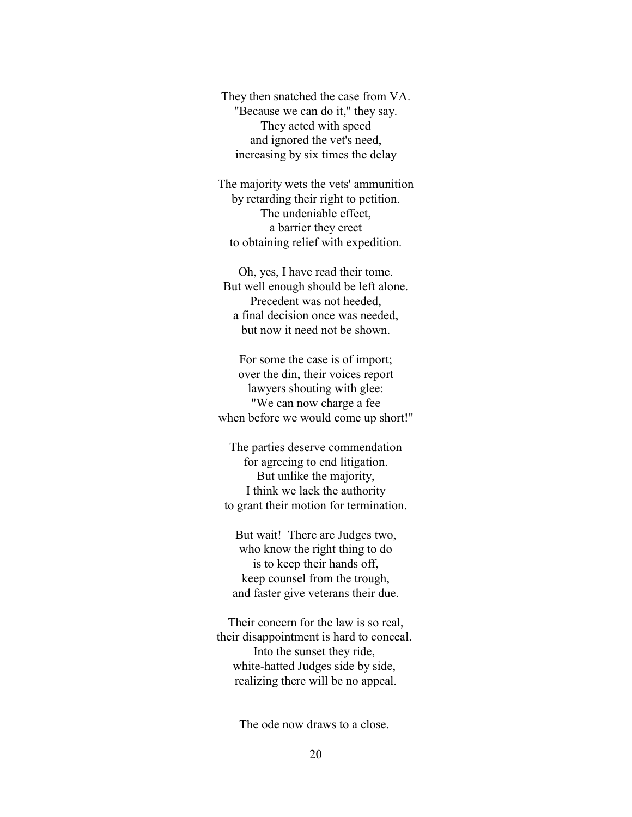They then snatched the case from VA. "Because we can do it," they say. They acted with speed and ignored the vet's need, increasing by six times the delay

The majority wets the vets' ammunition by retarding their right to petition. The undeniable effect, a barrier they erect to obtaining relief with expedition.

Oh, yes, I have read their tome. But well enough should be left alone. Precedent was not heeded, a final decision once was needed, but now it need not be shown.

For some the case is of import; over the din, their voices report lawyers shouting with glee: "We can now charge a fee when before we would come up short!"

The parties deserve commendation for agreeing to end litigation. But unlike the majority, I think we lack the authority to grant their motion for termination.

But wait! There are Judges two, who know the right thing to do is to keep their hands off, keep counsel from the trough, and faster give veterans their due.

Their concern for the law is so real, their disappointment is hard to conceal. Into the sunset they ride, white-hatted Judges side by side, realizing there will be no appeal.

The ode now draws to a close.